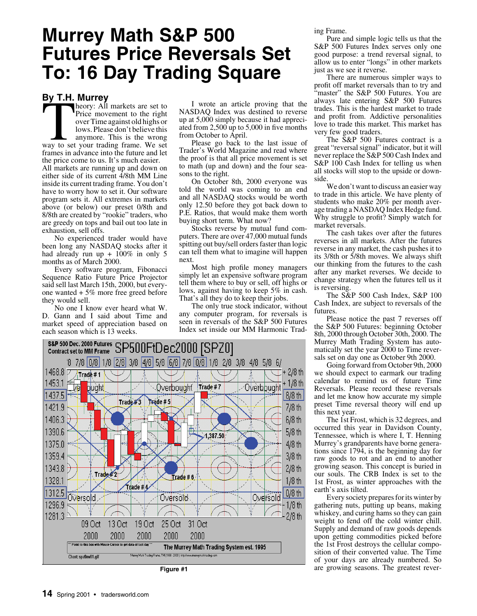# **Murrey Math S&P 500 Futures Price Reversals Set To: 16 Day Trading Square**

## **By T.H. Murrey**

For the Murrey<br>
Theory: All markets are set to<br>
Price movement to the right<br>
over Time against old highs or<br>
lows. Please don't believe this<br>
anymore. This is the wrong<br>
way to set your trading frame. We set heory: All markets are set to Price movement to the right over Time against old highs or lows. Please don't believe this anymore. This is the wrong frames in advance into the future and let the price come to us. It's much easier. All markets are running up and down on either side of its current 4/8th MM Line inside its current trading frame. You don't have to worry how to set it. Our software program sets it. All extremes in markets above (or below) our preset 0/8th and 8/8th are created by "rookie" traders, who are greedy on tops and bail out too late in exhaustion, sell offs.

No experienced trader would have been long any NASDAQ stocks after it had already run up +  $100\%$  in only 5 months as of March 2000.

Every software program, Fibonacci Sequence Ratio Future Price Projector said sell last March 15th, 2000, but everyone wanted + 5% more free greed before they would sell.

No one I know ever heard what W. D. Gann and I said about Time and market speed of appreciation based on each season which is 13 weeks.

I wrote an article proving that the NASDAQ Index was destined to reverse up at 5,000 simply because it had appreciated from  $2,500$  up to  $5,000$  in five months from October to April.

Please go back to the last issue of Trader's World Magazine and read where the proof is that all price movement is set to math (up and down) and the four seasons to the right.

On October 8th, 2000 everyone was told the world was coming to an end and all NASDAQ stocks would be worth only 12.50 before they got back down to P.E. Ratios, that would make them worth buying short term. What now?

Stocks reverse by mutual fund computers. There are over 47,000 mutual funds spitting out buy/sell orders faster than logic can tell them what to imagine will happen next.

Most high profile money managers simply let an expensive software program tell them where to buy or sell, off highs or lows, against having to keep 5% in cash. That's all they do to keep their jobs.

The only true stock indicator, without any computer program, for reversals is seen in reversals of the S&P 500 Futures Index set inside our MM Harmonic Trad-



ing Frame.

Pure and simple logic tells us that the S&P 500 Futures Index serves only one good purpose: a trend reversal signal, to allow us to enter "longs" in other markets just as we see it reverse.

There are numerous simpler ways to profit off market reversals than to try and "master" the S&P 500 Futures. You are always late entering S&P 500 Futures trades. This is the hardest market to trade and profit from. Addictive personalities love to trade this market. This market has very few good traders.

The S&P 500 Futures contract is a great "reversal signal" indicator, but it will never replace the S&P 500 Cash Index and S&P 100 Cash Index for telling us when all stocks will stop to the upside or downside.

We don't want to discuss an easier way to trade in this article. We have plenty of students who make 20% per month average trading a NASDAQ Index Hedge fund. Why struggle to profit? Simply watch for market reversals.

The cash takes over after the futures reverses in all markets. After the futures reverse in any market, the cash pushes it to its 3/8th or 5/8th moves. We always shift our thinking from the futures to the cash after any market reverses. We decide to change strategy when the futures tell us it is reversing.

The S&P 500 Cash Index, S&P 100 Cash Index, are subject to reversals of the futures.

Please notice the past 7 reverses off the S&P 500 Futures: beginning October 8th, 2000 through October 30th, 2000. The Murrey Math Trading System has automatically set the year 2000 to Time reversals set on day one as October 9th 2000.

Going forward from October 9th, 2000 we should expect to earmark our trading calendar to remind us of future Time Reversals. Please record these reversals and let me know how accurate my simple preset Time reversal theory will end up this next year.

The 1st Frost, which is 32 degrees, and occurred this year in Davidson County, Tennessee, which is where I, T. Henning Murrey's grandparents have borne generations since 1794, is the beginning day for raw goods to rot and an end to another growing season. This concept is buried in our souls. The CRB Index is set to the 1st Frost, as winter approaches with the earth's axis tilted.

Every society prepares for its winter by gathering nuts, putting up beans, making whiskey, and curing hams so they can gain weight to fend off the cold winter chill. Supply and demand of raw goods depends upon getting commodities picked before the 1st Frost destroys the cellular composition of their converted value. The Time of your days are already numbered. So **Figure #1** are growing seasons. The greatest rever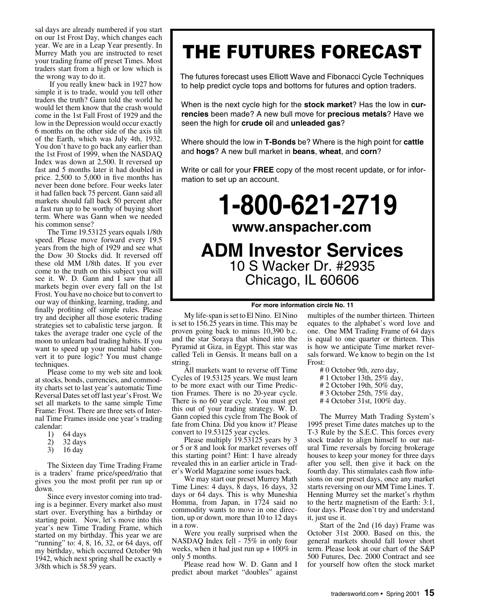sal days are already numbered if you start on our 1st Frost Day, which changes each year. We are in a Leap Year presently. In Murrey Math you are instructed to reset your trading frame off preset Times. Most traders start from a high or low which is the wrong way to do it.

 If you really knew back in 1927 how simple it is to trade, would you tell other traders the truth? Gann told the world he would let them know that the crash would come in the 1st Fall Frost of 1929 and the low in the Depression would occur exactly 6 months on the other side of the axis tilt of the Earth, which was July 4th, 1932. You don't have to go back any earlier than the 1st Frost of 1999, when the NASDAQ Index was down at 2,500. It reversed up fast and 5 months later it had doubled in price.  $2,500$  to  $5,000$  in five months has never been done before. Four weeks later it had fallen back 75 percent. Gann said all markets should fall back 50 percent after a fast run up to be worthy of buying short term. Where was Gann when we needed his common sense?

The Time 19.53125 years equals 1/8th speed. Please move forward every 19.5 years from the high of 1929 and see what the Dow 30 Stocks did. It reversed off these old MM 1/8th dates. If you ever come to the truth on this subject you will see it. W. D. Gann and I saw that all markets begin over every fall on the 1st Frost. You have no choice but to convert to our way of thinking, learning, trading, and finally profiting off simple rules. Please try and decipher all those esoteric trading strategies set to cabalistic terse jargon. It takes the average trader one cycle of the moon to unlearn bad trading habits. If you want to speed up your mental habit convert it to pure logic? You must change techniques.

Please come to my web site and look at stocks, bonds, currencies, and commodity charts set to last year's automatic Time Reversal Dates set off last year's Frost. We set all markets to the same simple Time Frame: Frost. There are three sets of Internal Time Frames inside one year's trading calendar:

- 
- 1) 64 days<br>2) 32 days 2) 32 days
- 3) 16 day

The Sixteen day Time Trading Frame is a traders' frame price/speed/ratio that gives you the most profit per run up or down.

Since every investor coming into trading is a beginner. Every market also must start over. Everything has a birthday or starting point. Now, let's move into this year's new Time Trading Frame, which started on my birthday. This year we are "running" to: 4, 8, 16, 32, or 64 days, off my birthday, which occurred October 9th 1942, which next spring shall be exactly + 3/8th which is 58.59 years.

# THE FUTURES FORECAST

The futures forecast uses Elliott Wave and Fibonacci Cycle Techniques to help predict cycle tops and bottoms for futures and option traders.

When is the next cycle high for the **stock market**? Has the low in **currencies** been made? A new bull move for **precious metals**? Have we seen the high for **crude oi**l and **unleaded gas**?

Where should the low in **T-Bonds** be? Where is the high point for **cattle** and **hogs**? A new bull market in **beans**, **wheat**, and **corn**?

Write or call for your **FREE** copy of the most recent update, or for information to set up an account.

# **1-800-621-2719 www.anspacher.com ADM Investor Services** 10 S Wacker Dr. #2935 Chicago, IL 60606

#### **For more information circle No. 11**

My life-span is set to El Nino. El Nino is set to 156.25 years in time. This may be proven going back to minus 10,390 b.c. and the star Soraya that shined into the Pyramid at Giza, in Egypt. This star was called Teli in Gensis. It means ball on a string.

All markets want to reverse off Time Cycles of 19.53125 years. We must learn to be more exact with our Time Prediction Frames. There is no 20-year cycle. There is no 60 year cycle. You must get this out of your trading strategy. W. D. Gann copied this cycle from The Book of fate from China. Did you know it? Please convert to 19.53125 year cycles.

Please multiply 19.53125 years by 3 or 5 or 8 and look for market reverses off this starting point? Hint: I have already revealed this in an earlier article in Trader's World Magazine some issues back.

We may start our preset Murrey Math Time Lines: 4 days, 8 days, 16 days, 32 days or 64 days. This is why Muneshia Homma, from Japan, in 1724 said no commodity wants to move in one direction, up or down, more than 10 to 12 days in a row.

Were you really surprised when the NASDAQ Index fell - 75% in only four weeks, when it had just run up +  $100\%$  in only 5 months.

Please read how W. D. Gann and I predict about market "doubles" against multiples of the number thirteen. Thirteen equates to the alphabet's word love and one. One MM Trading Frame of 64 days is equal to one quarter or thirteen. This is how we anticipate Time market reversals forward. We know to begin on the 1st Frost:

- # 0 October 9th, zero day,
- # 1 October 13th, 25% day,
- # 2 October 19th, 50% day,
- # 3 October 25th, 75% day,
- # 4 October 31st, 100% day.

The Murrey Math Trading System's 1995 preset Time dates matches up to the T-3 Rule by the S.E.C. This forces every stock trader to align himself to our natural Time reversals by forcing brokerage houses to keep your money for three days after you sell, then give it back on the fourth day. This stimulates cash flow infusions on our preset days, once any market starts reversing on our MM Time Lines. T. Henning Murrey set the market's rhythm to the hertz magnetism of the Earth: 3:1, four days. Please don't try and understand it, just use it.

Start of the 2nd (16 day) Frame was October 31st 2000. Based on this, the general markets should fall lower short term. Please look at our chart of the S&P 500 Futures, Dec. 2000 Contract and see for yourself how often the stock market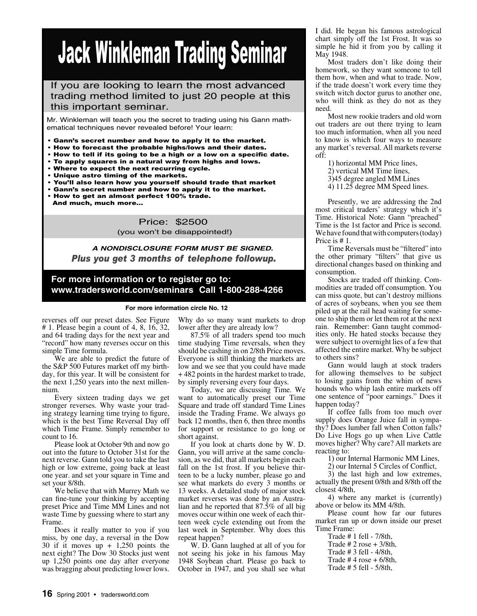# Jack Winkleman Trading Seminar

## If you are looking to learn the most advanced trading method limited to just 20 people at this this important seminar.

Mr. Winkleman will teach you the secret to trading using his Gann mathematical techniques never revealed before! Your learn:

- Gann's secret number and how to apply it to the market.
- How to forecast the probable highs/lows and their dates.
- How to tell if its going to be a high or a low on a specific date.
- To apply squares in a natural way from highs and lows.
- Where to expect the next recurring cycle.
- Unique astro timing of the markets.
- You'll also learn how you yourself should trade that market
- Gann's secret number and how to apply it to the market.
- How to get an almost perfect 100% trade. And much, much more...

 Price: \$2500 (you won't be disappointed!)

*Plus you get 3 months of telephone followup. A NONDISCLOSURE FORM MUST BE SIGNED.*

### **For more information or to register go to: www.tradersworld.com/seminars Call 1-800-288-4266**

#### **For more information circle No. 12**

reverses off our preset dates. See Figure # 1. Please begin a count of 4, 8, 16, 32, and 64 trading days for the next year and "record" how many reverses occur on this simple Time formula.

We are able to predict the future of the S&P 500 Futures market off my birthday, for this year. It will be consistent for the next 1,250 years into the next millennium.

Every sixteen trading days we get stronger reverses. Why waste your trading strategy learning time trying to figure, which is the best Time Reversal Day off which Time Frame. Simply remember to count to 16.

Please look at October 9th and now go out into the future to October 31st for the next reverse. Gann told you to take the last high or low extreme, going back at least one year. and set your square in Time and set your 8/8th.

We believe that with Murrey Math we can fine-tune your thinking by accepting preset Price and Time MM Lines and not waste Time by guessing where to start any Frame.

Does it really matter to you if you miss, by one day, a reversal in the Dow 30 if it moves up + 1,250 points the next eight? The Dow 30 Stocks just went up 1,250 points one day after everyone was bragging about predicting lower lows. Why do so many want markets to drop lower after they are already low?

87.5% of all traders spend too much time studying Time reversals, when they should be cashing in on 2/8th Price moves. Everyone is still thinking the markets are low and we see that you could have made + 482 points in the hardest market to trade, by simply reversing every four days.

Today, we are discussing Time. We want to automatically preset our Time Square and trade off standard Time Lines inside the Trading Frame. We always go back 12 months, then 6, then three months for support or resistance to go long or short against.

If you look at charts done by W. D. Gann, you will arrive at the same conclusion, as we did, that all markets begin each fall on the 1st frost. If you believe thirteen to be a lucky number, please go and see what markets do every 3 months or 13 weeks. A detailed study of major stock market reverses was done by an Australian and he reported that 87.5% of all big moves occur within one week of each thirteen week cycle extending out from the last week in September. Why does this repeat happen?

W. D. Gann laughed at all of you for not seeing his joke in his famous May 1948 Soybean chart. Please go back to October in 1947, and you shall see what I did. He began his famous astrological chart simply off the 1st Frost. It was so simple he hid it from you by calling it May 1948.

Most traders don't like doing their homework, so they want someone to tell them how, when and what to trade. Now, if the trade doesn't work every time they switch witch doctor gurus to another one, who will think as they do not as they need.

Most new rookie traders and old worn out traders are out there trying to learn too much information, when all you need to know is which four ways to measure any market's reversal. All markets reverse off:

1) horizontal MM Price lines, 2) vertical MM Time lines, 3)45 degree angled MM Lines 4) 11.25 degree MM Speed lines.

Presently, we are addressing the 2nd most critical traders' strategy which it's Time. Historical Note: Gann "preached" Time is the 1st factor and Price is second. We have found that with computers (today) Price is # 1.

Time Reversals must be "filtered" into the other primary "filters" that give us directional changes based on thinking and consumption.

Stocks are traded off thinking. Commodities are traded off consumption. You can miss quote, but can't destroy millions of acres of soybeans, when you see them piled up at the rail head waiting for someone to ship them or let them rot at the next rain. Remember: Gann taught commodities only. He hated stocks because they were subject to overnight lies of a few that affected the entire market. Why be subject to others sins?

Gann would laugh at stock traders for allowing themselves to be subject to losing gains from the whim of news hounds who whip lash entire markets off one sentence of "poor earnings." Does it happen today?

If coffee falls from too much over supply does Orange Juice fall in sympathy? Does lumber fall when Cotton falls? Do Live Hogs go up when Live Cattle moves higher? Why care? All markets are reacting to:

1) our Internal Harmonic MM Lines,

2) our Internal 5 Circles of Conflict,

3) the last high and low extremes, actually the present 0/8th and 8/8th off the closest 4/8th,

4) where any market is (currently) above or below its MM 4/8th.

Please count how far our futures market ran up or down inside our preset Time Frame:

Trade # 1 fell - 7/8th,

- Trade  $# 2$  rose  $+ 3/8$ th,
- Trade # 3 fell 4/8th,

Trade  $# 4$  rose  $+ 6/8$ th,

Trade # 5 fell - 5/8th,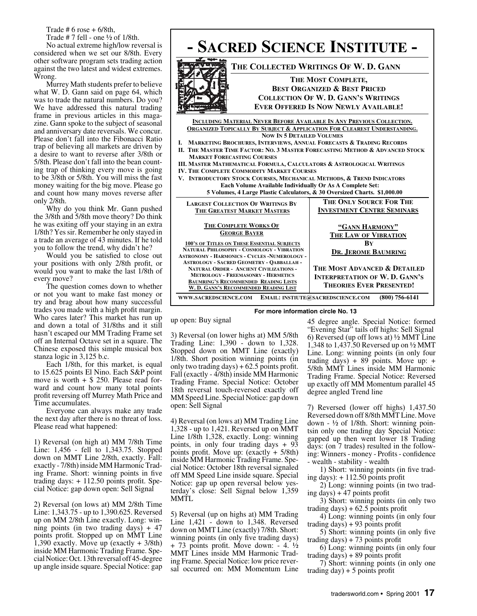Trade  $# 6$  rose  $+ 6/8$ th,

Trade  $# 7$  fell - one  $\frac{1}{2}$  of 1/8th.

No actual extreme high/low reversal is considered when we set our 8/8th. Every other software program sets trading action against the two latest and widest extremes. Wrong.

Murrey Math students prefer to believe what W. D. Gann said on page 64, which was to trade the natural numbers. Do you? We have addressed this natural trading frame in previous articles in this magazine. Gann spoke to the subject of seasonal and anniversary date reversals. We concur. Please don't fall into the Fibonacci Ratio trap of believing all markets are driven by a desire to want to reverse after 3/8th or 5/8th. Please don't fall into the bean counting trap of thinking every move is going to be 3/8th or 5/8th. You will miss the fast money waiting for the big move. Please go and count how many moves reverse after only 2/8th.

Why do you think Mr. Gann pushed the 3/8th and 5/8th move theory? Do think he was exiting off your staying in an extra 1/8th? Yes sir. Remember he only stayed in a trade an average of 43 minutes. If he told you to follow the trend, why didn't he?

Would you be satisfied to close out your positions with only 2/8th profit, or would you want to make the last 1/8th of every move?

The question comes down to whether or not you want to make fast money or try and brag about how many successful trades you made with a high profit margin. Who cares later? This market has run up and down a total of 31/8ths and it still hasn't escaped our MM Trading Frame set off an Internal Octave set in a square. The Chinese exposed this simple musical box stanza logic in 3,125 b.c.

Each 1/8th, for this market, is equal to 15.625 points El Nino. Each S&P point move is worth  $+$  \$ 250. Please read forward and count how many total points profit reversing off Murrey Math Price and Time accumulates.

Everyone can always make any trade the next day after there is no threat of loss. Please read what happened:

1) Reversal (on high at) MM 7/8th Time Line: 1,456 - fell to 1,343.75. Stopped down on MMT Line 2/8th, exactly. Fall: exactly - 7/8th) inside MM Harmonic Trading Frame. Short: winning points in five trading days:  $+ 112.50$  points profit. Special Notice: gap down open: Sell Signal

2) Reversal (on lows at) MM 2/8th Time Line: 1,343.75 - up to 1,390.625. Reversed up on MM 2/8th Line exactly. Long: winning points (in two trading days)  $+47$ points profit. Stopped up on MMT Line 1,390 exactly. Move up (exactly + 3/8th) inside MM Harmonic Trading Frame. Special Notice: Oct. 13th reversal off 45-degree up angle inside square. Special Notice: gap



up open: Buy signal

3) Reversal (on lower highs at) MM 5/8th Trading Line: 1,390 - down to 1,328. Stopped down on MMT Line (exactly) 1/8th. Short position winning points (in only two trading days)  $+ 62.5$  points profit. Fall (exactly - 4/8th) inside MM Harmonic Trading Frame. Special Notice: October 18th reversal touch-reversed exactly off MM Speed Line. Special Notice: gap down open: Sell Signal

4) Reversal (on lows at) MM Trading Line 1,328 - up to 1,421. Reversed up on MMT Line 1/8th 1,328, exactly. Long: winning points, in only four trading days + 93 points profit. Move up:  $(exactly + 5/8th)$ inside MM Harmonic Trading Frame. Special Notice: October 18th reversal signaled off MM Speed Line inside square. Special Notice: gap up open reversal below yesterday's close: Sell Signal below 1,359 MMTL

5) Reversal (up on highs at) MM Trading Line 1,421 - down to 1,348. Reversed down on MMT Line (exactly) 7/8th. Short: winning points (in only five trading days)  $+ 73$  points profit. Move down:  $- 4. \frac{1}{2}$ MMT Lines inside MM Harmonic Trading Frame. Special Notice: low price reversal occurred on: MM Momentum Line 45 degree angle. Special Notice: formed "Evening Star" tails off highs: Sell Signal 6) Reversed (up off lows at) ½ MMT Line 1,348 to 1,437.50 Reversed up on ½ MMT Line. Long: winning points (in only four trading days)  $+ 89$  points. Move up:  $+$ 5/8th MMT Lines inside MM Harmonic Trading Frame. Special Notice: Reversed up exactly off MM Momentum parallel 45 degree angled Trend line

7) Reversed (lower off highs) 1,437.50 Reversed down off 8/8th MMT Line. Move down - ½ of 1/8th. Short: winning pointsin only one trading day Special Notice: gapped up then went lower 18 Trading days: (on 7 trades) resulted in the following: Winners - money - Profits - confidence - wealth - stability - wealth

1) Short: winning points (in five trading days):  $+ 112.50$  points profit

2) Long: winning points (in two trading days)  $+47$  points profit

3) Short: winning points (in only two trading days)  $+ 62.5$  points profit

4) Long: winning points (in only four trading days)  $+93$  points profit

5) Short: winning points (in only five trading days)  $+ 73$  points profit

6) Long: winning points (in only four trading days)  $+89$  points profit

7) Short: winning points (in only one trading day)  $+ 5$  points profit